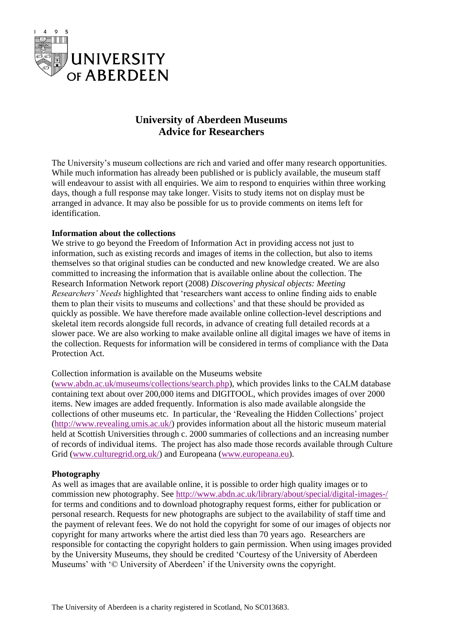

# **University of Aberdeen Museums Advice for Researchers**

The University's museum collections are rich and varied and offer many research opportunities. While much information has already been published or is publicly available, the museum staff will endeavour to assist with all enquiries. We aim to respond to enquiries within three working days, though a full response may take longer. Visits to study items not on display must be arranged in advance. It may also be possible for us to provide comments on items left for identification.

## **Information about the collections**

We strive to go beyond the Freedom of Information Act in providing access not just to information, such as existing records and images of items in the collection, but also to items themselves so that original studies can be conducted and new knowledge created. We are also committed to increasing the information that is available online about the collection. The Research Information Network report (2008) *Discovering physical objects: Meeting Researchers' Needs* highlighted that 'researchers want access to online finding aids to enable them to plan their visits to museums and collections' and that these should be provided as quickly as possible. We have therefore made available online collection-level descriptions and skeletal item records alongside full records, in advance of creating full detailed records at a slower pace. We are also working to make available online all digital images we have of items in the collection. Requests for information will be considered in terms of compliance with the Data Protection Act.

#### Collection information is available on the Museums website

[\(www.abdn.ac.uk/museums/collections/search.php\)](http://www.abdn.ac.uk/museums/collections/search.php), which provides links to the CALM database containing text about over 200,000 items and DIGITOOL, which provides images of over 2000 items. New images are added frequently. Information is also made available alongside the collections of other museums etc. In particular, the 'Revealing the Hidden Collections' project [\(http://www.revealing.umis.ac.uk/\)](http://www.revealing.umis.ac.uk/) provides information about all the historic museum material held at Scottish Universities through c. 2000 summaries of collections and an increasing number of records of individual items. The project has also made those records available through Culture Grid [\(www.culturegrid.org.uk/\)](http://www.culturegrid.org.uk/) and Europeana [\(www.europeana.eu\)](http://www.europeana.eu/).

#### **Photography**

As well as images that are available online, it is possible to order high quality images or to commission new photography. See<http://www.abdn.ac.uk/library/about/special/digital-images-/> for terms and conditions and to download photography request forms, either for publication or personal research. Requests for new photographs are subject to the availability of staff time and the payment of relevant fees. We do not hold the copyright for some of our images of objects nor copyright for many artworks where the artist died less than 70 years ago. Researchers are responsible for contacting the copyright holders to gain permission. When using images provided by the University Museums, they should be credited 'Courtesy of the University of Aberdeen Museums' with '© University of Aberdeen' if the University owns the copyright.